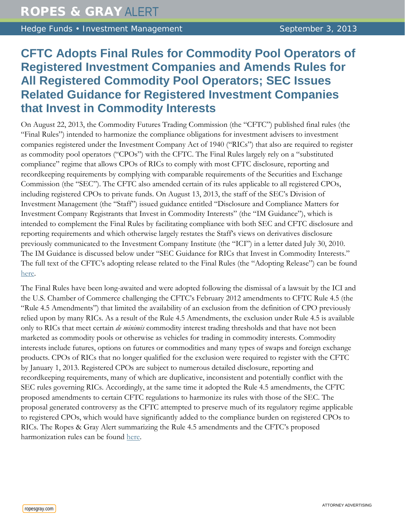Hedge Funds • Investment Management September 3, 2013

# **CFTC Adopts Final Rules for Commodity Pool Operators of Registered Investment Companies and Amends Rules for All Registered Commodity Pool Operators; SEC Issues Related Guidance for Registered Investment Companies that Invest in Commodity Interests**

On August 22, 2013, the Commodity Futures Trading Commission (the "CFTC") published final rules (the "Final Rules") intended to harmonize the compliance obligations for investment advisers to investment companies registered under the Investment Company Act of 1940 ("RICs") that also are required to register as commodity pool operators ("CPOs") with the CFTC. The Final Rules largely rely on a "substituted compliance" regime that allows CPOs of RICs to comply with most CFTC disclosure, reporting and recordkeeping requirements by complying with comparable requirements of the Securities and Exchange Commission (the "SEC"). The CFTC also amended certain of its rules applicable to all registered CPOs, including registered CPOs to private funds. On August 13, 2013, the staff of the SEC's Division of Investment Management (the "Staff") issued guidance entitled "Disclosure and Compliance Matters for Investment Company Registrants that Invest in Commodity Interests" (the "IM Guidance"), which is intended to complement the Final Rules by facilitating compliance with both SEC and CFTC disclosure and reporting requirements and which otherwise largely restates the Staff's views on derivatives disclosure previously communicated to the Investment Company Institute (the "ICI") in a letter dated July 30, 2010. The IM Guidance is discussed below under "SEC Guidance for RICs that Invest in Commodity Interests." The full text of the CFTC's adopting release related to the Final Rules (the "Adopting Release") can be found [here.](http://www.gpo.gov/fdsys/pkg/FR-2013-08-22/pdf/2013-19894.pdf)

The Final Rules have been long-awaited and were adopted following the dismissal of a lawsuit by the ICI and the U.S. Chamber of Commerce challenging the CFTC's February 2012 amendments to CFTC Rule 4.5 (the "Rule 4.5 Amendments") that limited the availability of an exclusion from the definition of CPO previously relied upon by many RICs. As a result of the Rule 4.5 Amendments, the exclusion under Rule 4.5 is available only to RICs that meet certain *de minimis* commodity interest trading thresholds and that have not been marketed as commodity pools or otherwise as vehicles for trading in commodity interests. Commodity interests include futures, options on futures or commodities and many types of swaps and foreign exchange products. CPOs of RICs that no longer qualified for the exclusion were required to register with the CFTC by January 1, 2013. Registered CPOs are subject to numerous detailed disclosure, reporting and recordkeeping requirements, many of which are duplicative, inconsistent and potentially conflict with the SEC rules governing RICs. Accordingly, at the same time it adopted the Rule 4.5 amendments, the CFTC proposed amendments to certain CFTC regulations to harmonize its rules with those of the SEC. The proposal generated controversy as the CFTC attempted to preserve much of its regulatory regime applicable to registered CPOs, which would have significantly added to the compliance burden on registered CPOs to RICs. The Ropes & Gray Alert summarizing the Rule 4.5 amendments and the CFTC's proposed harmonization rules can be found [here.](http://www.ropesgray.com/news-and-insights/Insights/2012/02/commodity-futures-trading-commission-adopts-final-rules-limiting-exclusion-from-registration-for-registered-investment-companies.aspx)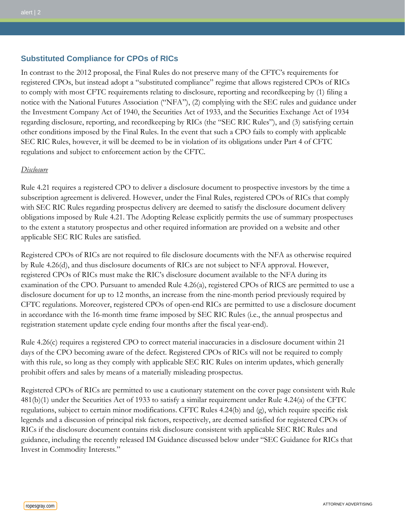# **Substituted Compliance for CPOs of RICs**

In contrast to the 2012 proposal, the Final Rules do not preserve many of the CFTC's requirements for registered CPOs, but instead adopt a "substituted compliance" regime that allows registered CPOs of RICs to comply with most CFTC requirements relating to disclosure, reporting and recordkeeping by (1) filing a notice with the National Futures Association ("NFA"), (2) complying with the SEC rules and guidance under the Investment Company Act of 1940, the Securities Act of 1933, and the Securities Exchange Act of 1934 regarding disclosure, reporting, and recordkeeping by RICs (the "SEC RIC Rules"), and (3) satisfying certain other conditions imposed by the Final Rules. In the event that such a CPO fails to comply with applicable SEC RIC Rules, however, it will be deemed to be in violation of its obligations under Part 4 of CFTC regulations and subject to enforcement action by the CFTC.

## *Disclosure*

Rule 4.21 requires a registered CPO to deliver a disclosure document to prospective investors by the time a subscription agreement is delivered. However, under the Final Rules, registered CPOs of RICs that comply with SEC RIC Rules regarding prospectus delivery are deemed to satisfy the disclosure document delivery obligations imposed by Rule 4.21. The Adopting Release explicitly permits the use of summary prospectuses to the extent a statutory prospectus and other required information are provided on a website and other applicable SEC RIC Rules are satisfied.

Registered CPOs of RICs are not required to file disclosure documents with the NFA as otherwise required by Rule 4.26(d), and thus disclosure documents of RICs are not subject to NFA approval. However, registered CPOs of RICs must make the RIC's disclosure document available to the NFA during its examination of the CPO. Pursuant to amended Rule 4.26(a), registered CPOs of RICS are permitted to use a disclosure document for up to 12 months, an increase from the nine-month period previously required by CFTC regulations. Moreover, registered CPOs of open-end RICs are permitted to use a disclosure document in accordance with the 16-month time frame imposed by SEC RIC Rules (i.e., the annual prospectus and registration statement update cycle ending four months after the fiscal year-end).

Rule 4.26(c) requires a registered CPO to correct material inaccuracies in a disclosure document within 21 days of the CPO becoming aware of the defect. Registered CPOs of RICs will not be required to comply with this rule, so long as they comply with applicable SEC RIC Rules on interim updates, which generally prohibit offers and sales by means of a materially misleading prospectus.

Registered CPOs of RICs are permitted to use a cautionary statement on the cover page consistent with Rule 481(b)(1) under the Securities Act of 1933 to satisfy a similar requirement under Rule 4.24(a) of the CFTC regulations, subject to certain minor modifications. CFTC Rules 4.24(b) and (g), which require specific risk legends and a discussion of principal risk factors, respectively, are deemed satisfied for registered CPOs of RICs if the disclosure document contains risk disclosure consistent with applicable SEC RIC Rules and guidance, including the recently released IM Guidance discussed below under "SEC Guidance for RICs that Invest in Commodity Interests."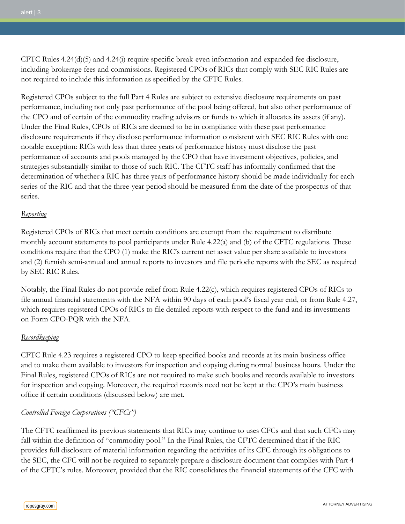CFTC Rules 4.24(d)(5) and 4.24(i) require specific break-even information and expanded fee disclosure, including brokerage fees and commissions. Registered CPOs of RICs that comply with SEC RIC Rules are not required to include this information as specified by the CFTC Rules.

Registered CPOs subject to the full Part 4 Rules are subject to extensive disclosure requirements on past performance, including not only past performance of the pool being offered, but also other performance of the CPO and of certain of the commodity trading advisors or funds to which it allocates its assets (if any). Under the Final Rules, CPOs of RICs are deemed to be in compliance with these past performance disclosure requirements if they disclose performance information consistent with SEC RIC Rules with one notable exception: RICs with less than three years of performance history must disclose the past performance of accounts and pools managed by the CPO that have investment objectives, policies, and strategies substantially similar to those of such RIC. The CFTC staff has informally confirmed that the determination of whether a RIC has three years of performance history should be made individually for each series of the RIC and that the three-year period should be measured from the date of the prospectus of that series.

## *Reporting*

Registered CPOs of RICs that meet certain conditions are exempt from the requirement to distribute monthly account statements to pool participants under Rule 4.22(a) and (b) of the CFTC regulations. These conditions require that the CPO (1) make the RIC's current net asset value per share available to investors and (2) furnish semi-annual and annual reports to investors and file periodic reports with the SEC as required by SEC RIC Rules.

Notably, the Final Rules do not provide relief from Rule 4.22(c), which requires registered CPOs of RICs to file annual financial statements with the NFA within 90 days of each pool's fiscal year end, or from Rule 4.27, which requires registered CPOs of RICs to file detailed reports with respect to the fund and its investments on Form CPO-PQR with the NFA.

## *Recordkeeping*

CFTC Rule 4.23 requires a registered CPO to keep specified books and records at its main business office and to make them available to investors for inspection and copying during normal business hours. Under the Final Rules, registered CPOs of RICs are not required to make such books and records available to investors for inspection and copying. Moreover, the required records need not be kept at the CPO's main business office if certain conditions (discussed below) are met.

## *Controlled Foreign Corporations ("CFCs")*

The CFTC reaffirmed its previous statements that RICs may continue to uses CFCs and that such CFCs may fall within the definition of "commodity pool." In the Final Rules, the CFTC determined that if the RIC provides full disclosure of material information regarding the activities of its CFC through its obligations to the SEC, the CFC will not be required to separately prepare a disclosure document that complies with Part 4 of the CFTC's rules. Moreover, provided that the RIC consolidates the financial statements of the CFC with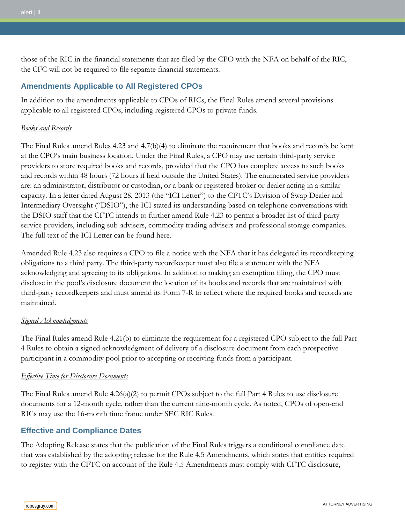those of the RIC in the financial statements that are filed by the CPO with the NFA on behalf of the RIC, the CFC will not be required to file separate financial statements.

# **Amendments Applicable to All Registered CPOs**

In addition to the amendments applicable to CPOs of RICs, the Final Rules amend several provisions applicable to all registered CPOs, including registered CPOs to private funds.

## *Books and Records*

The Final Rules amend Rules 4.23 and 4.7(b)(4) to eliminate the requirement that books and records be kept at the CPO's main business location. Under the Final Rules, a CPO may use certain third-party service providers to store required books and records, provided that the CPO has complete access to such books and records within 48 hours (72 hours if held outside the United States). The enumerated service providers are: an administrator, distributor or custodian, or a bank or registered broker or dealer acting in a similar capacity. In a letter dated August 28, 2013 (the "ICI Letter") to the CFTC's Division of Swap Dealer and Intermediary Oversight ("DSIO"), the ICI stated its understanding based on telephone conversations with the DSIO staff that the CFTC intends to further amend Rule 4.23 to permit a broader list of third-party service providers, including sub-advisers, commodity trading advisers and professional storage companies. The full text of the ICI Letter can be found [here.](http://ici.org/pdf/27509.pdf)

Amended Rule 4.23 also requires a CPO to file a notice with the NFA that it has delegated its recordkeeping obligations to a third party. The third-party recordkeeper must also file a statement with the NFA acknowledging and agreeing to its obligations. In addition to making an exemption filing, the CPO must disclose in the pool's disclosure document the location of its books and records that are maintained with third-party recordkeepers and must amend its Form 7-R to reflect where the required books and records are maintained.

## *Signed Acknowledgments*

The Final Rules amend Rule 4.21(b) to eliminate the requirement for a registered CPO subject to the full Part 4 Rules to obtain a signed acknowledgment of delivery of a disclosure document from each prospective participant in a commodity pool prior to accepting or receiving funds from a participant.

## *Effective Time for Disclosure Documents*

The Final Rules amend Rule 4.26(a)(2) to permit CPOs subject to the full Part 4 Rules to use disclosure documents for a 12-month cycle, rather than the current nine-month cycle. As noted, CPOs of open-end RICs may use the 16-month time frame under SEC RIC Rules.

# **Effective and Compliance Dates**

The Adopting Release states that the publication of the Final Rules triggers a conditional compliance date that was established by the adopting release for the Rule 4.5 Amendments, which states that entities required to register with the CFTC on account of the Rule 4.5 Amendments must comply with CFTC disclosure,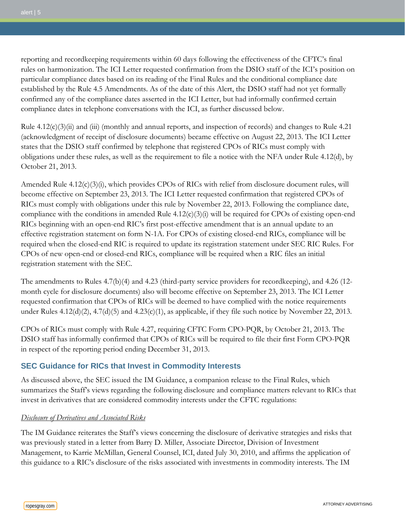reporting and recordkeeping requirements within 60 days following the effectiveness of the CFTC's final rules on harmonization. The ICI Letter requested confirmation from the DSIO staff of the ICI's position on particular compliance dates based on its reading of the Final Rules and the conditional compliance date established by the Rule 4.5 Amendments. As of the date of this Alert, the DSIO staff had not yet formally confirmed any of the compliance dates asserted in the ICI Letter, but had informally confirmed certain compliance dates in telephone conversations with the ICI, as further discussed below.

Rule 4.12(c)(3)(ii) and (iii) (monthly and annual reports, and inspection of records) and changes to Rule 4.21 (acknowledgment of receipt of disclosure documents) became effective on August 22, 2013. The ICI Letter states that the DSIO staff confirmed by telephone that registered CPOs of RICs must comply with obligations under these rules, as well as the requirement to file a notice with the NFA under Rule 4.12(d), by October 21, 2013.

Amended Rule 4.12(c)(3)(i), which provides CPOs of RICs with relief from disclosure document rules, will become effective on September 23, 2013. The ICI Letter requested confirmation that registered CPOs of RICs must comply with obligations under this rule by November 22, 2013. Following the compliance date, compliance with the conditions in amended Rule  $4.12(c)(3)(i)$  will be required for CPOs of existing open-end RICs beginning with an open-end RIC's first post-effective amendment that is an annual update to an effective registration statement on form N-1A. For CPOs of existing closed-end RICs, compliance will be required when the closed-end RIC is required to update its registration statement under SEC RIC Rules. For CPOs of new open-end or closed-end RICs, compliance will be required when a RIC files an initial registration statement with the SEC.

The amendments to Rules 4.7(b)(4) and 4.23 (third-party service providers for recordkeeping), and 4.26 (12 month cycle for disclosure documents) also will become effective on September 23, 2013. The ICI Letter requested confirmation that CPOs of RICs will be deemed to have complied with the notice requirements under Rules 4.12(d)(2), 4.7(d)(5) and 4.23(c)(1), as applicable, if they file such notice by November 22, 2013.

CPOs of RICs must comply with Rule 4.27, requiring CFTC Form CPO-PQR, by October 21, 2013. The DSIO staff has informally confirmed that CPOs of RICs will be required to file their first Form CPO-PQR in respect of the reporting period ending December 31, 2013.

# **SEC Guidance for RICs that Invest in Commodity Interests**

As discussed above, the SEC issued the IM Guidance, a companion release to the Final Rules, which summarizes the Staff's views regarding the following disclosure and compliance matters relevant to RICs that invest in derivatives that are considered commodity interests under the CFTC regulations:

## *Disclosure of Derivatives and Associated Risks*

The IM Guidance reiterates the Staff's views concerning the disclosure of derivative strategies and risks that was previously stated in a letter from Barry D. Miller, Associate Director, Division of Investment Management, to Karrie McMillan, General Counsel, ICI, dated July 30, 2010, and affirms the application of this guidance to a RIC's disclosure of the risks associated with investments in commodity interests. The IM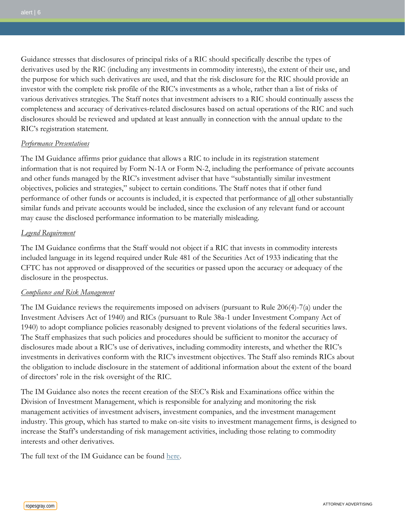Guidance stresses that disclosures of principal risks of a RIC should specifically describe the types of derivatives used by the RIC (including any investments in commodity interests), the extent of their use, and the purpose for which such derivatives are used, and that the risk disclosure for the RIC should provide an investor with the complete risk profile of the RIC's investments as a whole, rather than a list of risks of various derivatives strategies. The Staff notes that investment advisers to a RIC should continually assess the completeness and accuracy of derivatives-related disclosures based on actual operations of the RIC and such disclosures should be reviewed and updated at least annually in connection with the annual update to the RIC's registration statement.

#### *Performance Presentations*

The IM Guidance affirms prior guidance that allows a RIC to include in its registration statement information that is not required by Form N-1A or Form N-2, including the performance of private accounts and other funds managed by the RIC's investment adviser that have "substantially similar investment objectives, policies and strategies," subject to certain conditions. The Staff notes that if other fund performance of other funds or accounts is included, it is expected that performance of all other substantially similar funds and private accounts would be included, since the exclusion of any relevant fund or account may cause the disclosed performance information to be materially misleading.

#### *Legend Requirement*

The IM Guidance confirms that the Staff would not object if a RIC that invests in commodity interests included language in its legend required under Rule 481 of the Securities Act of 1933 indicating that the CFTC has not approved or disapproved of the securities or passed upon the accuracy or adequacy of the disclosure in the prospectus.

#### *Compliance and Risk Management*

The IM Guidance reviews the requirements imposed on advisers (pursuant to Rule 206(4)-7(a) under the Investment Advisers Act of 1940) and RICs (pursuant to Rule 38a-1 under Investment Company Act of 1940) to adopt compliance policies reasonably designed to prevent violations of the federal securities laws. The Staff emphasizes that such policies and procedures should be sufficient to monitor the accuracy of disclosures made about a RIC's use of derivatives, including commodity interests, and whether the RIC's investments in derivatives conform with the RIC's investment objectives. The Staff also reminds RICs about the obligation to include disclosure in the statement of additional information about the extent of the board of directors' role in the risk oversight of the RIC.

The IM Guidance also notes the recent creation of the SEC's Risk and Examinations office within the Division of Investment Management, which is responsible for analyzing and monitoring the risk management activities of investment advisers, investment companies, and the investment management industry. This group, which has started to make on-site visits to investment management firms, is designed to increase the Staff's understanding of risk management activities, including those relating to commodity interests and other derivatives.

The full text of the IM Guidance can be found [here.](http://www.sec.gov/divisions/investment/guidance/im-guidance-2013-05.pdf)